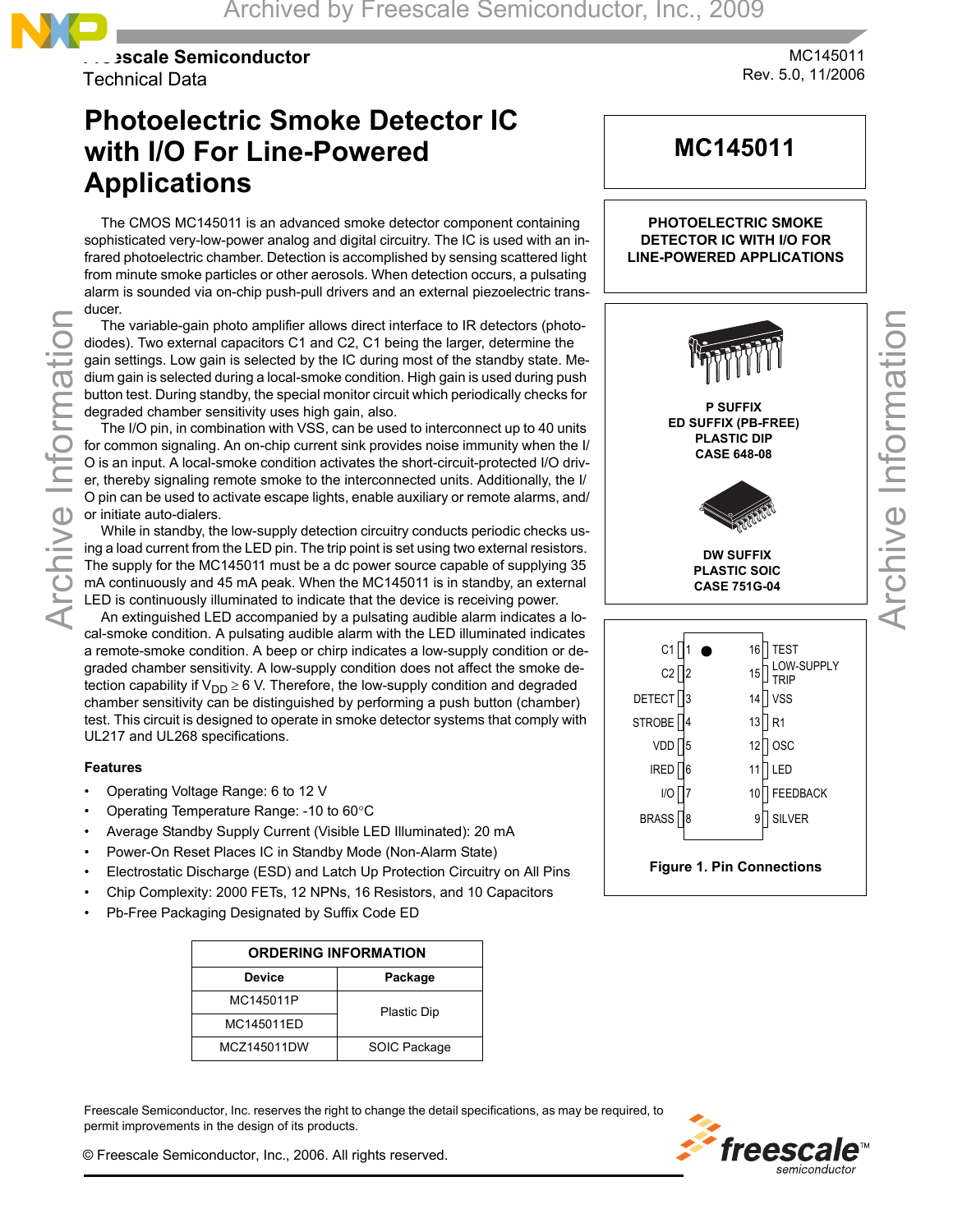# **Freescale Semiconductor** Technical Data

# **Photoelectric Smoke Detector IC with I/O For Line-Powered Applications**

The CMOS MC145011 is an advanced smoke detector component containing sophisticated very-low-power analog and digital circuitry. The IC is used with an infrared photoelectric chamber. Detection is accomplished by sensing scattered light from minute smoke particles or other aerosols. When detection occurs, a pulsating alarm is sounded via on-chip push-pull drivers and an external piezoelectric transducer.

The variable-gain photo amplifier allows direct interface to IR detectors (photodiodes). Two external capacitors C1 and C2, C1 being the larger, determine the gain settings. Low gain is selected by the IC during most of the standby state. Medium gain is selected during a local-smoke condition. High gain is used during push button test. During standby, the special monitor circuit which periodically checks for degraded chamber sensitivity uses high gain, also.

The I/O pin, in combination with VSS, can be used to interconnect up to 40 units for common signaling. An on-chip current sink provides noise immunity when the I/ O is an input. A local-smoke condition activates the short-circuit-protected I/O driver, thereby signaling remote smoke to the interconnected units. Additionally, the I/ O pin can be used to activate escape lights, enable auxiliary or remote alarms, and/ or initiate auto-dialers.

While in standby, the low-supply detection circuitry conducts periodic checks using a load current from the LED pin. The trip point is set using two external resistors. The supply for the MC145011 must be a dc power source capable of supplying 35 mA continuously and 45 mA peak. When the MC145011 is in standby, an external LED is continuously illuminated to indicate that the device is receiving power.

An extinguished LED accompanied by a pulsating audible alarm indicates a local-smoke condition. A pulsating audible alarm with the LED illuminated indicates a remote-smoke condition. A beep or chirp indicates a low-supply condition or degraded chamber sensitivity. A low-supply condition does not affect the smoke detection capability if  $V_{DD} \geq 6$  V. Therefore, the low-supply condition and degraded chamber sensitivity can be distinguished by performing a push button (chamber) test. This circuit is designed to operate in smoke detector systems that comply with UL217 and UL268 specifications.

### **Features**

- Operating Voltage Range: 6 to 12 V
- Operating Temperature Range: -10 to 60°C
- Average Standby Supply Current (Visible LED Illuminated): 20 mA
- Power-On Reset Places IC in Standby Mode (Non-Alarm State)
- Electrostatic Discharge (ESD) and Latch Up Protection Circuitry on All Pins
- Chip Complexity: 2000 FETs, 12 NPNs, 16 Resistors, and 10 Capacitors
- Pb-Free Packaging Designated by Suffix Code ED

| <b>ORDERING INFORMATION</b> |                    |  |  |  |
|-----------------------------|--------------------|--|--|--|
| <b>Device</b>               | Package            |  |  |  |
| MC145011P                   | <b>Plastic Dip</b> |  |  |  |
| MC145011ED                  |                    |  |  |  |
| MCZ145011DW                 | SOIC Package       |  |  |  |

Freescale Semiconductor, Inc. reserves the right to change the detail specifications, as may be required, to permit improvements in the design of its products.

**P SUFFIX ED SUFFIX (PB-FREE) PLASTIC DIP CASE 648-08 DW SUFFIX PLASTIC SOIC CASE 751G-04**

**MC145011**

**PHOTOELECTRIC SMOKE DETECTOR IC WITH I/O FOR LINE-POWERED APPLICATIONS**

Archive Information

Archive Information



frees

© Freescale Semiconductor, Inc., 2006. All rights reserved.

MC145011 Rev. 5.0, 11/2006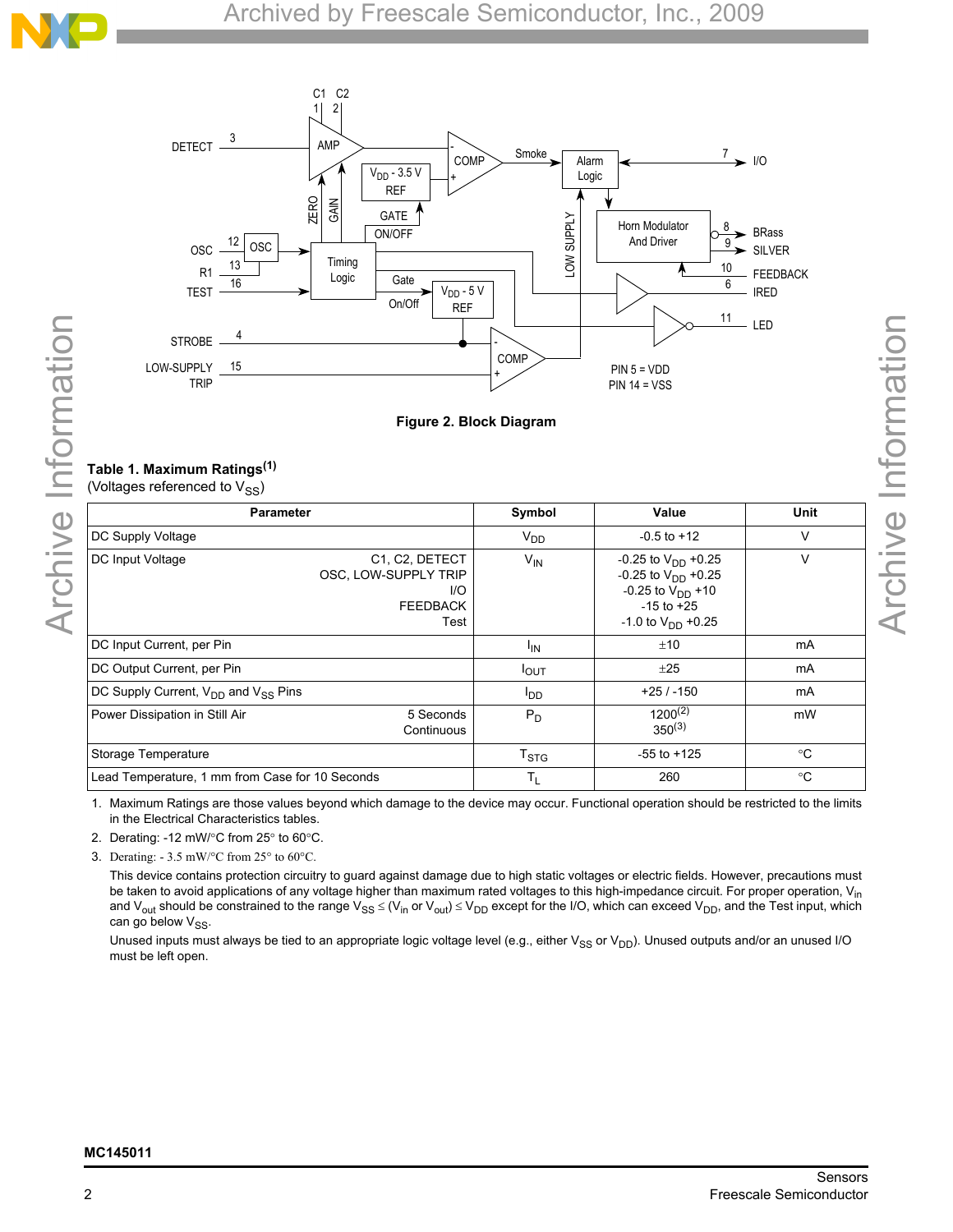

Archive Information



**Figure 2. Block Diagram**

# **Table 1. Maximum Ratings(1)**

| apie i maximum naunyo                    |  |
|------------------------------------------|--|
| Voltages referenced to V <sub>SS</sub> ) |  |

| <b>Parameter</b>                                            |                                                                          | Symbol           | Value                                                                                                                                  | Unit        |
|-------------------------------------------------------------|--------------------------------------------------------------------------|------------------|----------------------------------------------------------------------------------------------------------------------------------------|-------------|
| DC Supply Voltage                                           |                                                                          | $V_{DD}$         | $-0.5$ to $+12$                                                                                                                        | V           |
| <b>DC Input Voltage</b>                                     | C1, C2, DETECT<br>OSC, LOW-SUPPLY TRIP<br>I/O<br><b>FEEDBACK</b><br>Test | $V_{IN}$         | $-0.25$ to V <sub>DD</sub> $+0.25$<br>-0.25 to $V_{DD}$ +0.25<br>$-0.25$ to $V_{DD}$ +10<br>$-15$ to $+25$<br>$-1.0$ to $V_{DD}$ +0.25 | V           |
| DC Input Current, per Pin                                   |                                                                          | $I_{IN}$         | ±10                                                                                                                                    | mA          |
| DC Output Current, per Pin                                  |                                                                          | $I_{OUT}$        | ±25                                                                                                                                    | mA          |
| DC Supply Current, V <sub>DD</sub> and V <sub>SS</sub> Pins |                                                                          | OO <sup>I</sup>  | $+25/ -150$                                                                                                                            | mA          |
| Power Dissipation in Still Air                              | 5 Seconds<br>Continuous                                                  | $P_D$            | $1200^{(2)}$<br>$350^{(3)}$                                                                                                            | mW          |
| Storage Temperature                                         |                                                                          | T <sub>STG</sub> | $-55$ to $+125$                                                                                                                        | $^{\circ}C$ |
| Lead Temperature, 1 mm from Case for 10 Seconds             | Τ <sub>L</sub>                                                           | 260              | $^{\circ}C$                                                                                                                            |             |

1. Maximum Ratings are those values beyond which damage to the device may occur. Functional operation should be restricted to the limits in the Electrical Characteristics tables.

2. Derating: -12 mW/°C from 25° to 60°C.

3. Derating: - 3.5 mW/°C from 25° to 60°C.

This device contains protection circuitry to guard against damage due to high static voltages or electric fields. However, precautions must be taken to avoid applications of any voltage higher than maximum rated voltages to this high-impedance circuit. For proper operation,  $V_{in}$ and V<sub>out</sub> should be constrained to the range V<sub>SS</sub>  $\leq$  (V<sub>in</sub> or V<sub>out</sub>)  $\leq$  V<sub>DD</sub> except for the I/O, which can exceed V<sub>DD</sub>, and the Test input, which can go below V<sub>SS</sub>.

Unused inputs must always be tied to an appropriate logic voltage level (e.g., either  $V_{SS}$  or  $V_{DD}$ ). Unused outputs and/or an unused I/O must be left open.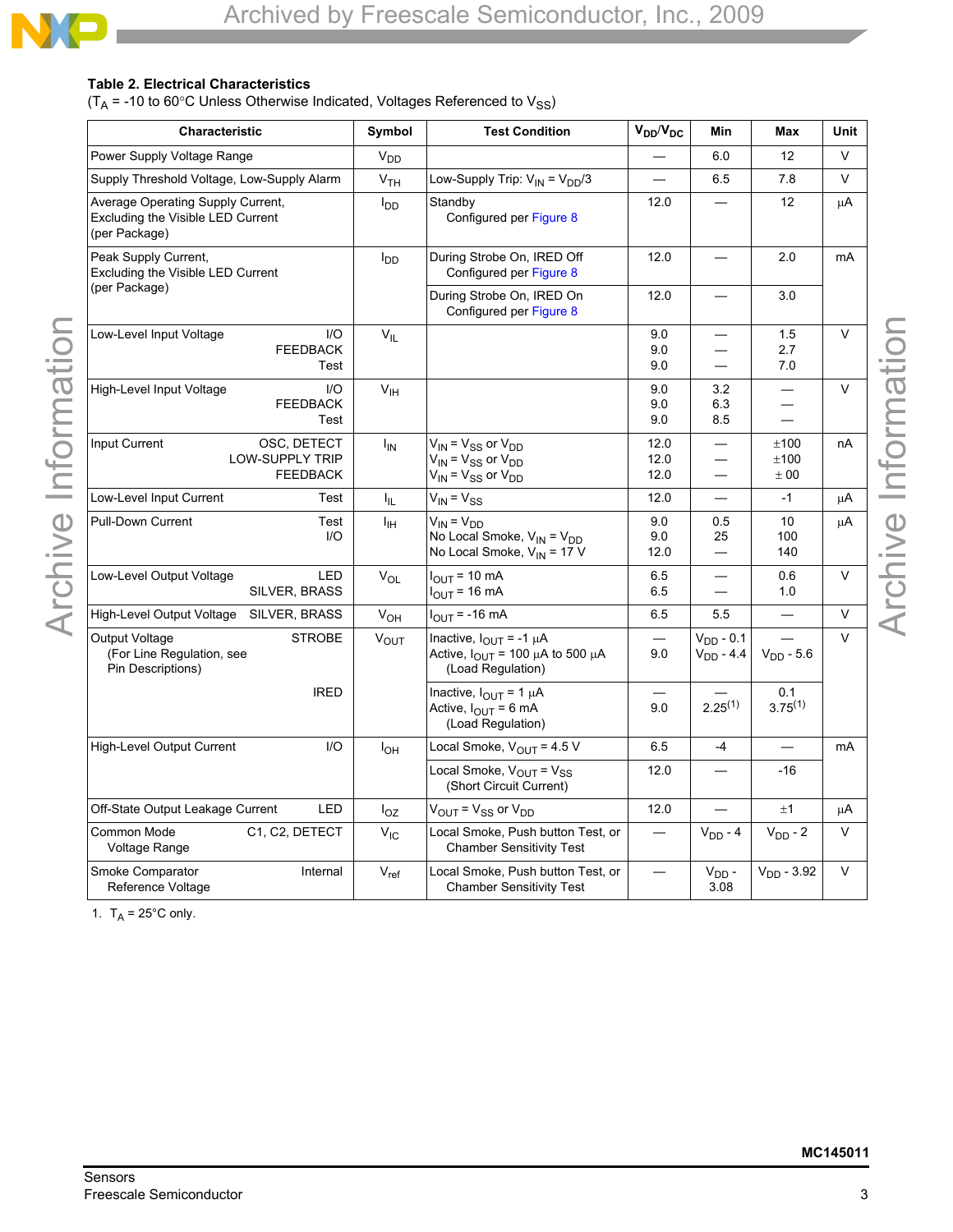

## **Table 2. Electrical Characteristics**

( $T_A$  = -10 to 60°C Unless Otherwise Indicated, Voltages Referenced to  $V_{SS}$ )

| Characteristic                                                                          | Symbol                 | <b>Test Condition</b>                                                                                     | $V_{DD}/V_{DC}$          | Min                              | Max                              | <b>Unit</b>  |
|-----------------------------------------------------------------------------------------|------------------------|-----------------------------------------------------------------------------------------------------------|--------------------------|----------------------------------|----------------------------------|--------------|
| Power Supply Voltage Range                                                              | V <sub>DD</sub>        |                                                                                                           |                          | 6.0                              | 12                               | V            |
| Supply Threshold Voltage, Low-Supply Alarm                                              | V <sub>TH</sub>        | Low-Supply Trip: $V_{IN} = V_{DD}/3$                                                                      |                          | 6.5                              | 7.8                              | V            |
| Average Operating Supply Current,<br>Excluding the Visible LED Current<br>(per Package) | <b>I</b> <sub>DD</sub> | Standby<br>Configured per Figure 8                                                                        | 12.0                     |                                  | 12                               | $\mu$ A      |
| Peak Supply Current,<br>Excluding the Visible LED Current                               | l <sub>DD</sub>        | During Strobe On, IRED Off<br>Configured per Figure 8                                                     | 12.0                     |                                  | 2.0                              | mA           |
| (per Package)                                                                           |                        | During Strobe On, IRED On<br>Configured per Figure 8                                                      | 12.0                     |                                  | 3.0                              |              |
| 1/O<br>Low-Level Input Voltage<br><b>FEEDBACK</b><br>Test                               | $V_{IL}$               |                                                                                                           | 9.0<br>9.0<br>9.0        | $\overline{\phantom{0}}$         | 1.5<br>2.7<br>7.0                | $\mathsf{V}$ |
| I/O<br>High-Level Input Voltage<br><b>FEEDBACK</b><br>Test                              | $V_{\text{IH}}$        |                                                                                                           | 9.0<br>9.0<br>9.0        | 3.2<br>6.3<br>85                 | —                                | V            |
| OSC, DETECT<br>Input Current<br><b>LOW-SUPPLY TRIP</b><br><b>FEEDBACK</b>               | $I_{IN}$               | $V_{IN}$ = $V_{SS}$ or $V_{DD}$<br>$V_{IN} = V_{SS}$ or $V_{DD}$<br>$V_{IN}$ = $V_{SS}$ or $V_{DD}$       | 12.0<br>12.0<br>12.0     | $\overline{\phantom{0}}$         | ±100<br>±100<br>± 00             | nA           |
| Low-Level Input Current<br>Test                                                         | $I_{IL}$               | $V_{IN} = V_{SS}$                                                                                         | 12.0                     | $\overline{\phantom{0}}$         | $-1$                             | $\mu A$      |
| <b>Pull-Down Current</b><br>Test<br>1/O                                                 | $I_{\text{IH}}$        | $V_{IN} = V_{DD}$<br>No Local Smoke, $V_{IN} = V_{DD}$<br>No Local Smoke, V <sub>IN</sub> = 17 V          | 9.0<br>9.0<br>12.0       | 0.5<br>25                        | 10<br>100<br>140                 | $\mu$ A      |
| Low-Level Output Voltage<br>LED<br>SILVER, BRASS                                        | $V_{OL}$               | $I_{\text{OUT}}$ = 10 mA<br>$I_{OUT}$ = 16 mA                                                             | 6.5<br>6.5               | —                                | 0.6<br>1.0                       | $\vee$       |
| High-Level Output Voltage SILVER, BRASS                                                 | $V_{OH}$               | $I_{\text{OUT}}$ = -16 mA                                                                                 | 6.5                      | 5.5                              | $\equiv$                         | $\vee$       |
| <b>STROBE</b><br>Output Voltage<br>(For Line Regulation, see<br>Pin Descriptions)       | $V_{OUT}$              | Inactive, $I_{\text{OUT}} = -1 \mu A$<br>Active, $I_{\text{OUT}}$ = 100 µA to 500 µA<br>(Load Regulation) | 9.0                      | $V_{DD} - 0.1$<br>$V_{DD} - 4.4$ | $V_{DD} - 5.6$                   | $\vee$       |
| <b>IRED</b>                                                                             |                        | Inactive, $I_{OUT} = 1 \mu A$<br>Active, $I_{OUT} = 6$ mA<br>(Load Regulation)                            | 9.0                      | $2.25^{(1)}$                     | 0.1<br>$3.75^{(1)}$              |              |
| High-Level Output Current<br>I/O                                                        | $I_{OH}$               | Local Smoke, $V_{\text{OUT}} = 4.5 V$                                                                     | 6.5                      | $-4$                             | $\overbrace{\phantom{12322111}}$ | mA           |
|                                                                                         |                        | Local Smoke, V <sub>OUT</sub> = V <sub>SS</sub><br>(Short Circuit Current)                                | 12.0                     |                                  | -16                              |              |
| Off-State Output Leakage Current<br>LED                                                 | $I_{OZ}$               | $V_{OUT} = V_{SS}$ or $V_{DD}$                                                                            | 12.0                     |                                  | ±1                               | μA           |
| Common Mode<br>C1, C2, DETECT<br>Voltage Range                                          | $V_{IC}$               | Local Smoke, Push button Test, or<br><b>Chamber Sensitivity Test</b>                                      | $\overline{\phantom{0}}$ | $V_{DD} - 4$                     | $V_{DD} - 2$                     | V            |
| Smoke Comparator<br>Internal<br>Reference Voltage                                       | $V_{ref}$              | Local Smoke, Push button Test, or<br><b>Chamber Sensitivity Test</b>                                      |                          | $V_{DD}$ -<br>3.08               | $V_{DD} - 3.92$                  | V            |

1.  $T_A = 25^{\circ}$ C only.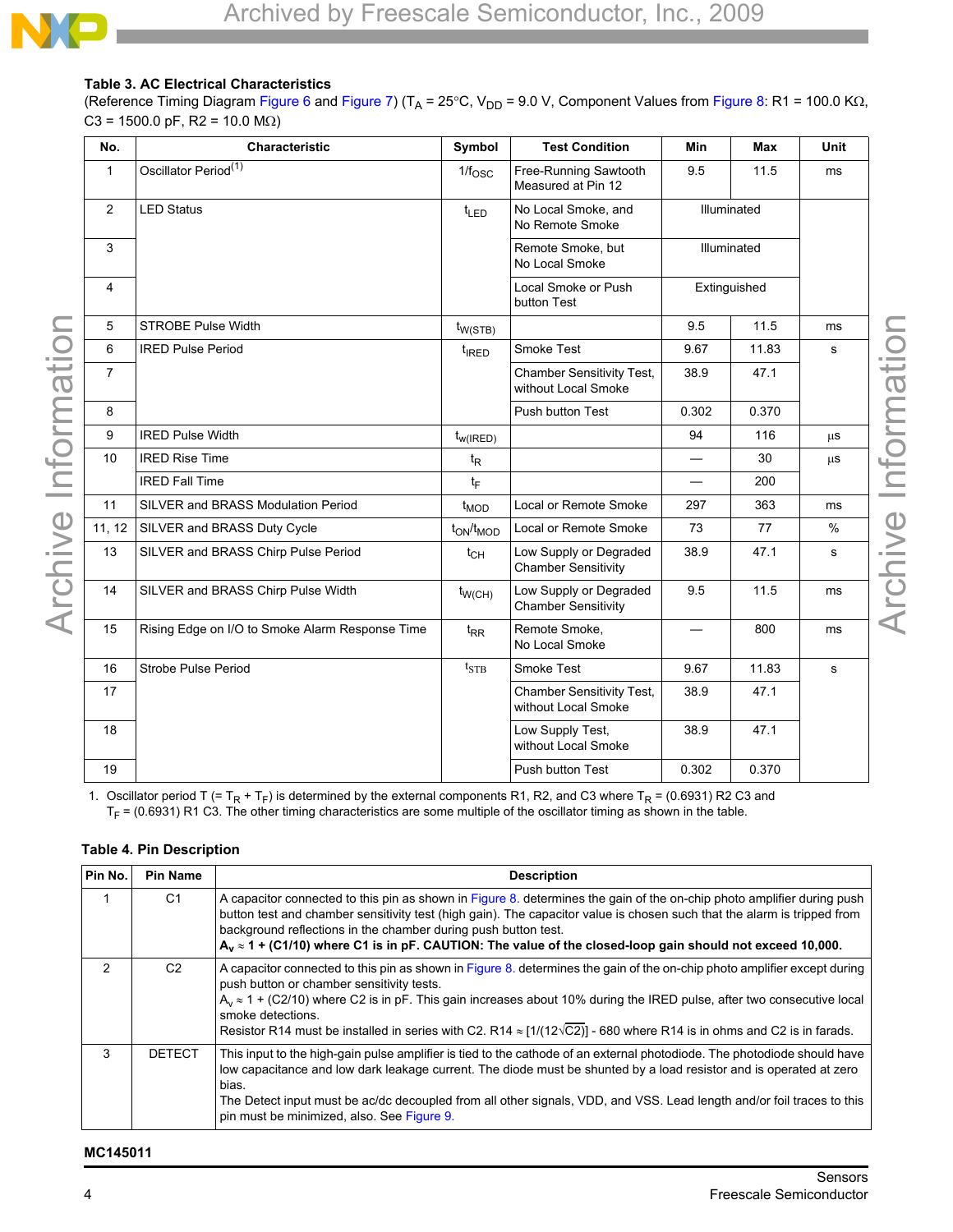## **Table 3. AC Electrical Characteristics**

(Reference Timing Diagram [Figure 6](#page-6-0) and [Figure 7\)](#page-7-0) (T<sub>A</sub> = 25°C, V<sub>DD</sub> = 9.0 V, Component Values from Figure 8: R1 = 100.0 K $\Omega$ , C3 = 1500.0 pF, R2 = 10.0 M $\Omega$ )

| No.            | <b>Characteristic</b>                           | Symbol            | <b>Test Condition</b>                                | <b>Min</b>                       | <b>Max</b>   | Unit    |
|----------------|-------------------------------------------------|-------------------|------------------------------------------------------|----------------------------------|--------------|---------|
| $\mathbf{1}$   | Oscillator Period <sup>(1)</sup>                | $1/f_{\rm OSC}$   | Free-Running Sawtooth<br>Measured at Pin 12          | 9.5                              | 11.5         | ms      |
| 2              | <b>LED Status</b>                               | $t_{LED}$         | No Local Smoke, and<br>No Remote Smoke               |                                  | Illuminated  |         |
| 3              |                                                 |                   | Remote Smoke, but<br>No Local Smoke                  |                                  | Illuminated  |         |
| $\overline{4}$ |                                                 |                   | Local Smoke or Push<br>button Test                   |                                  | Extinguished |         |
| 5              | <b>STROBE Pulse Width</b>                       | $t_{W(STB)}$      |                                                      | 9.5                              | 11.5         | ms      |
| 6              | <b>IRED Pulse Period</b>                        | <sup>t</sup> IRED | Smoke Test                                           | 9.67                             | 11.83        | s       |
| $\overline{7}$ |                                                 |                   | Chamber Sensitivity Test,<br>without Local Smoke     | 38.9                             | 47.1         |         |
| 8              |                                                 |                   | Push button Test                                     | 0.302                            | 0.370        |         |
| 9              | <b>IRED Pulse Width</b>                         | $t_{w(IRED)}$     |                                                      | 94                               | 116          | μS      |
| 10             | <b>IRED Rise Time</b>                           | $t_{\mathsf{R}}$  |                                                      | $\overbrace{\phantom{12321111}}$ | 30           | $\mu$ s |
|                | <b>IRED Fall Time</b>                           | $t_F$             |                                                      | $\overline{\phantom{0}}$         | 200          |         |
| 11             | SILVER and BRASS Modulation Period              | $t_{MOD}$         | Local or Remote Smoke                                | 297                              | 363          | ms      |
| 11, 12         | SILVER and BRASS Duty Cycle                     | $t_{ON}/t_{MOD}$  | Local or Remote Smoke                                | 73                               | 77           | $\%$    |
| 13             | SILVER and BRASS Chirp Pulse Period             | $t_{CH}$          | Low Supply or Degraded<br><b>Chamber Sensitivity</b> | 38.9                             | 47.1         | s       |
| 14             | SILVER and BRASS Chirp Pulse Width              | $t_{W(CH)}$       | Low Supply or Degraded<br><b>Chamber Sensitivity</b> | 9.5                              | 11.5         | ms      |
| 15             | Rising Edge on I/O to Smoke Alarm Response Time | $t_{RR}$          | Remote Smoke,<br>No Local Smoke                      |                                  | 800          | ms      |
| 16             | Strobe Pulse Period                             | $t_{\text{STB}}$  | Smoke Test                                           | 9.67                             | 11.83        | s       |
| 17             |                                                 |                   | Chamber Sensitivity Test,<br>without Local Smoke     | 38.9                             | 47.1         |         |
| 18             |                                                 |                   | Low Supply Test,<br>without Local Smoke              | 38.9                             | 47.1         |         |
| 19             |                                                 |                   | Push button Test                                     | 0.302                            | 0.370        |         |

1. Oscillator period T (= T<sub>R</sub> + T<sub>F</sub>) is determined by the external components R1, R2, and C3 where T<sub>R</sub> = (0.6931) R2 C3 and  $T_F$  = (0.6931) R1 C3. The other timing characteristics are some multiple of the oscillator timing as shown in the table.

### **Table 4. Pin Description**

| Pin No.       | Pin Name       | <b>Description</b>                                                                                                                                                                                                                                                                                                                                                                                                                                                   |
|---------------|----------------|----------------------------------------------------------------------------------------------------------------------------------------------------------------------------------------------------------------------------------------------------------------------------------------------------------------------------------------------------------------------------------------------------------------------------------------------------------------------|
|               | C <sub>1</sub> | A capacitor connected to this pin as shown in Figure 8. determines the gain of the on-chip photo amplifier during push<br>button test and chamber sensitivity test (high gain). The capacitor value is chosen such that the alarm is tripped from<br>background reflections in the chamber during push button test.<br>$A_v \approx 1$ + (C1/10) where C1 is in pF. CAUTION: The value of the closed-loop gain should not exceed 10,000.                             |
| $\mathcal{P}$ | C <sub>2</sub> | A capacitor connected to this pin as shown in Figure 8. determines the gain of the on-chip photo amplifier except during<br>push button or chamber sensitivity tests.<br>$A_v \approx 1$ + (C2/10) where C2 is in pF. This gain increases about 10% during the IRED pulse, after two consecutive local<br>smoke detections.<br>Resistor R14 must be installed in series with C2. R14 $\approx$ [1/(12 $\sqrt{C2}$ )] - 680 where R14 is in ohms and C2 is in farads. |
| 3             | <b>DETECT</b>  | This input to the high-gain pulse amplifier is tied to the cathode of an external photodiode. The photodiode should have<br>low capacitance and low dark leakage current. The diode must be shunted by a load resistor and is operated at zero<br>bias.<br>The Detect input must be ac/dc decoupled from all other signals, VDD, and VSS. Lead length and/or foil traces to this<br>pin must be minimized, also. See Figure 9.                                       |

#### **MC145011**

Archive Information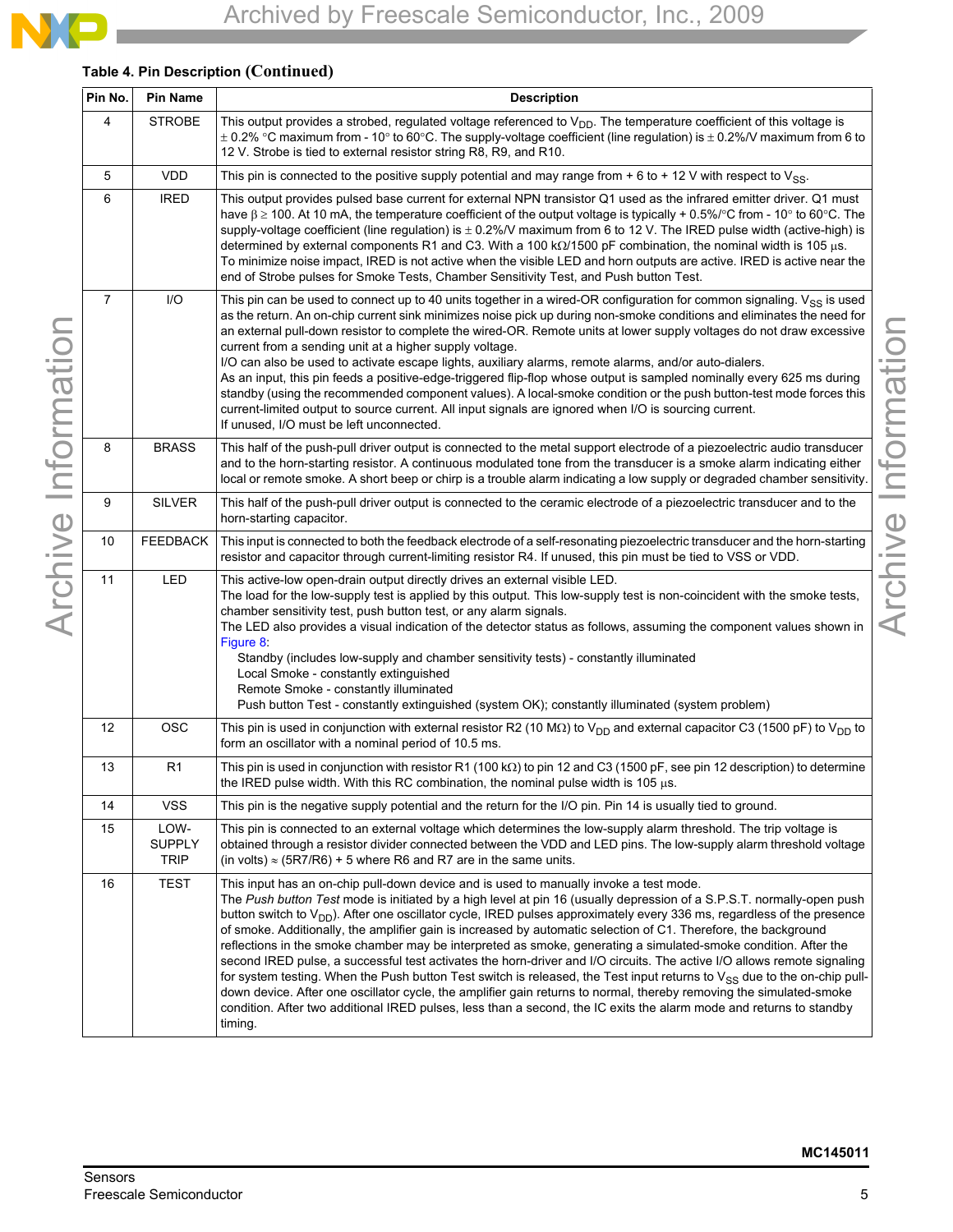## **Table 4. Pin Description (Continued)**

|                     | Pin No.        | <b>Pin Name</b>                      | <b>Description</b>                                                                                                                                                                                                                                                                                                                                                                                                                                                                                                                                                                                                                                                                                                                                                                                                                                                                                                                                                                                                                                                                                        |
|---------------------|----------------|--------------------------------------|-----------------------------------------------------------------------------------------------------------------------------------------------------------------------------------------------------------------------------------------------------------------------------------------------------------------------------------------------------------------------------------------------------------------------------------------------------------------------------------------------------------------------------------------------------------------------------------------------------------------------------------------------------------------------------------------------------------------------------------------------------------------------------------------------------------------------------------------------------------------------------------------------------------------------------------------------------------------------------------------------------------------------------------------------------------------------------------------------------------|
| Archive Information | 4              | <b>STROBE</b>                        | This output provides a strobed, regulated voltage referenced to $V_{DD}$ . The temperature coefficient of this voltage is<br>$\pm$ 0.2% °C maximum from - 10° to 60°C. The supply-voltage coefficient (line regulation) is $\pm$ 0.2%/V maximum from 6 to<br>12 V. Strobe is tied to external resistor string R8, R9, and R10.                                                                                                                                                                                                                                                                                                                                                                                                                                                                                                                                                                                                                                                                                                                                                                            |
|                     | 5              | <b>VDD</b>                           | This pin is connected to the positive supply potential and may range from $+$ 6 to $+$ 12 V with respect to $V_{SS}$ .                                                                                                                                                                                                                                                                                                                                                                                                                                                                                                                                                                                                                                                                                                                                                                                                                                                                                                                                                                                    |
|                     | 6              | <b>IRED</b>                          | This output provides pulsed base current for external NPN transistor Q1 used as the infrared emitter driver. Q1 must<br>have $\beta \ge 100$ . At 10 mA, the temperature coefficient of the output voltage is typically + 0.5%/°C from - 10° to 60°C. The<br>supply-voltage coefficient (line regulation) is $\pm$ 0.2%/V maximum from 6 to 12 V. The IRED pulse width (active-high) is<br>determined by external components R1 and C3. With a 100 k $\Omega/1500$ pF combination, the nominal width is 105 µs.<br>To minimize noise impact, IRED is not active when the visible LED and horn outputs are active. IRED is active near the<br>end of Strobe pulses for Smoke Tests, Chamber Sensitivity Test, and Push button Test.                                                                                                                                                                                                                                                                                                                                                                        |
|                     | $\overline{7}$ | I/O                                  | This pin can be used to connect up to 40 units together in a wired-OR configuration for common signaling. V <sub>SS</sub> is used<br>as the return. An on-chip current sink minimizes noise pick up during non-smoke conditions and eliminates the need for<br>an external pull-down resistor to complete the wired-OR. Remote units at lower supply voltages do not draw excessive<br>current from a sending unit at a higher supply voltage.<br>I/O can also be used to activate escape lights, auxiliary alarms, remote alarms, and/or auto-dialers.<br>As an input, this pin feeds a positive-edge-triggered flip-flop whose output is sampled nominally every 625 ms during<br>standby (using the recommended component values). A local-smoke condition or the push button-test mode forces this<br>current-limited output to source current. All input signals are ignored when I/O is sourcing current.<br>If unused, I/O must be left unconnected.                                                                                                                                               |
|                     | 8              | <b>BRASS</b>                         | This half of the push-pull driver output is connected to the metal support electrode of a piezoelectric audio transducer<br>and to the horn-starting resistor. A continuous modulated tone from the transducer is a smoke alarm indicating either<br>local or remote smoke. A short beep or chirp is a trouble alarm indicating a low supply or degraded chamber sensitivity.                                                                                                                                                                                                                                                                                                                                                                                                                                                                                                                                                                                                                                                                                                                             |
|                     | 9              | <b>SILVER</b>                        | This half of the push-pull driver output is connected to the ceramic electrode of a piezoelectric transducer and to the<br>horn-starting capacitor.                                                                                                                                                                                                                                                                                                                                                                                                                                                                                                                                                                                                                                                                                                                                                                                                                                                                                                                                                       |
|                     | 10             | <b>FEEDBACK</b>                      | This input is connected to both the feedback electrode of a self-resonating piezoelectric transducer and the horn-starting<br>resistor and capacitor through current-limiting resistor R4. If unused, this pin must be tied to VSS or VDD.                                                                                                                                                                                                                                                                                                                                                                                                                                                                                                                                                                                                                                                                                                                                                                                                                                                                |
|                     | 11             | LED                                  | This active-low open-drain output directly drives an external visible LED.<br>The load for the low-supply test is applied by this output. This low-supply test is non-coincident with the smoke tests,<br>chamber sensitivity test, push button test, or any alarm signals.<br>The LED also provides a visual indication of the detector status as follows, assuming the component values shown in<br>Figure 8:<br>Standby (includes low-supply and chamber sensitivity tests) - constantly illuminated<br>Local Smoke - constantly extinguished<br>Remote Smoke - constantly illuminated<br>Push button Test - constantly extinguished (system OK); constantly illuminated (system problem)                                                                                                                                                                                                                                                                                                                                                                                                              |
|                     | 12             | <b>OSC</b>                           | This pin is used in conjunction with external resistor R2 (10 M $\Omega$ ) to V <sub>DD</sub> and external capacitor C3 (1500 pF) to V <sub>DD</sub> to<br>form an oscillator with a nominal period of 10.5 ms.                                                                                                                                                                                                                                                                                                                                                                                                                                                                                                                                                                                                                                                                                                                                                                                                                                                                                           |
|                     | 13             | R <sub>1</sub>                       | This pin is used in conjunction with resistor R1 (100 k $\Omega$ ) to pin 12 and C3 (1500 pF, see pin 12 description) to determine<br>the IRED pulse width. With this RC combination, the nominal pulse width is 105 $\mu$ s.                                                                                                                                                                                                                                                                                                                                                                                                                                                                                                                                                                                                                                                                                                                                                                                                                                                                             |
|                     | 14             | <b>VSS</b>                           | This pin is the negative supply potential and the return for the I/O pin. Pin 14 is usually tied to ground.                                                                                                                                                                                                                                                                                                                                                                                                                                                                                                                                                                                                                                                                                                                                                                                                                                                                                                                                                                                               |
|                     | 15             | LOW-<br><b>SUPPLY</b><br><b>TRIP</b> | This pin is connected to an external voltage which determines the low-supply alarm threshold. The trip voltage is<br>obtained through a resistor divider connected between the VDD and LED pins. The low-supply alarm threshold voltage<br>(in volts) $\approx$ (5R7/R6) + 5 where R6 and R7 are in the same units.                                                                                                                                                                                                                                                                                                                                                                                                                                                                                                                                                                                                                                                                                                                                                                                       |
|                     | 16             | <b>TEST</b>                          | This input has an on-chip pull-down device and is used to manually invoke a test mode.<br>The Push button Test mode is initiated by a high level at pin 16 (usually depression of a S.P.S.T. normally-open push<br>button switch to $V_{DD}$ ). After one oscillator cycle, IRED pulses approximately every 336 ms, regardless of the presence<br>of smoke. Additionally, the amplifier gain is increased by automatic selection of C1. Therefore, the background<br>reflections in the smoke chamber may be interpreted as smoke, generating a simulated-smoke condition. After the<br>second IRED pulse, a successful test activates the horn-driver and I/O circuits. The active I/O allows remote signaling<br>for system testing. When the Push button Test switch is released, the Test input returns to $V_{SS}$ due to the on-chip pull-<br>down device. After one oscillator cycle, the amplifier gain returns to normal, thereby removing the simulated-smoke<br>condition. After two additional IRED pulses, less than a second, the IC exits the alarm mode and returns to standby<br>timing. |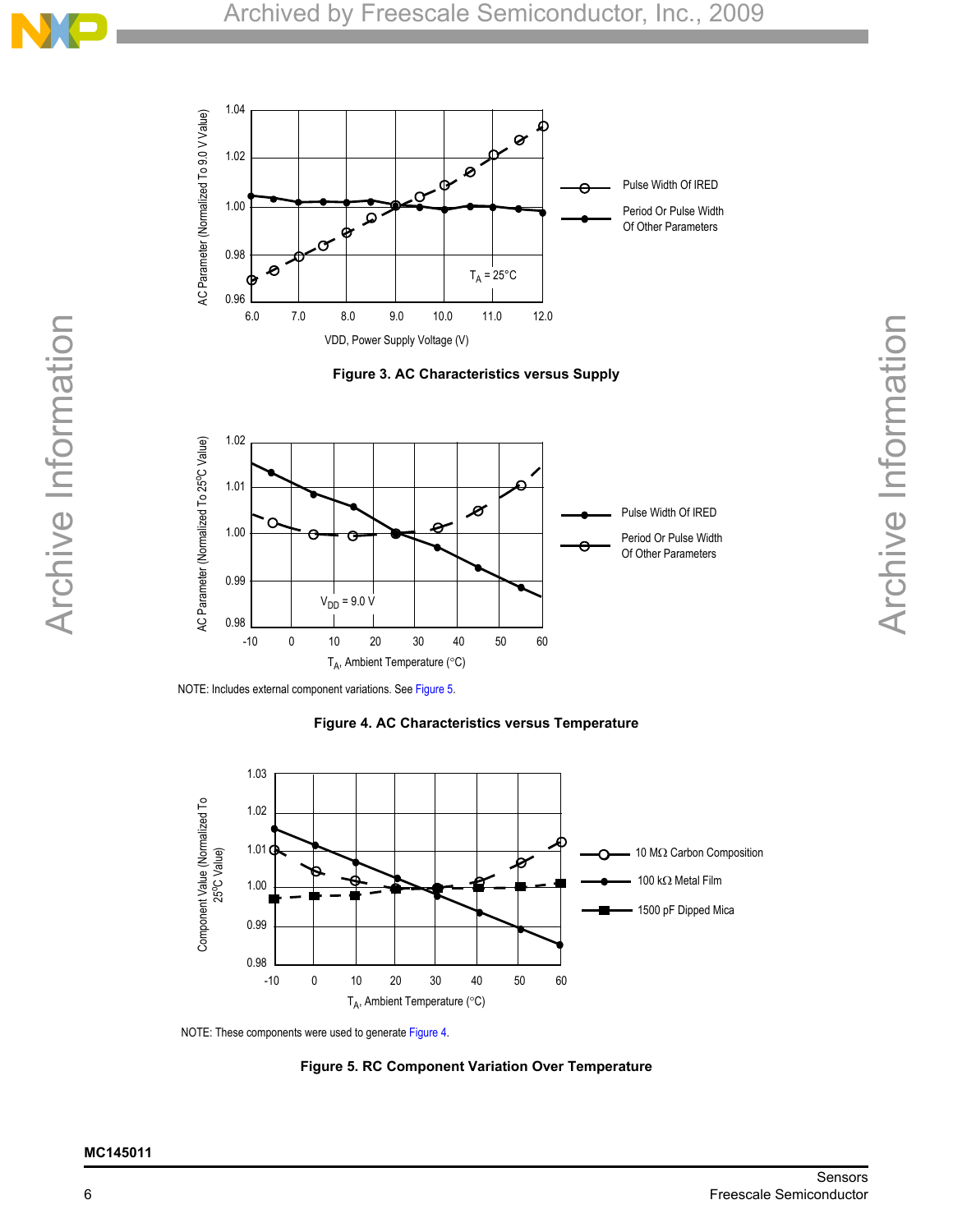

**Figure 3. AC Characteristics versus Supply**



NOTE: Includes external component variations. See [Figure 5](#page-5-0).





<span id="page-5-0"></span>NOTE: These components were used to generate Figure 4.

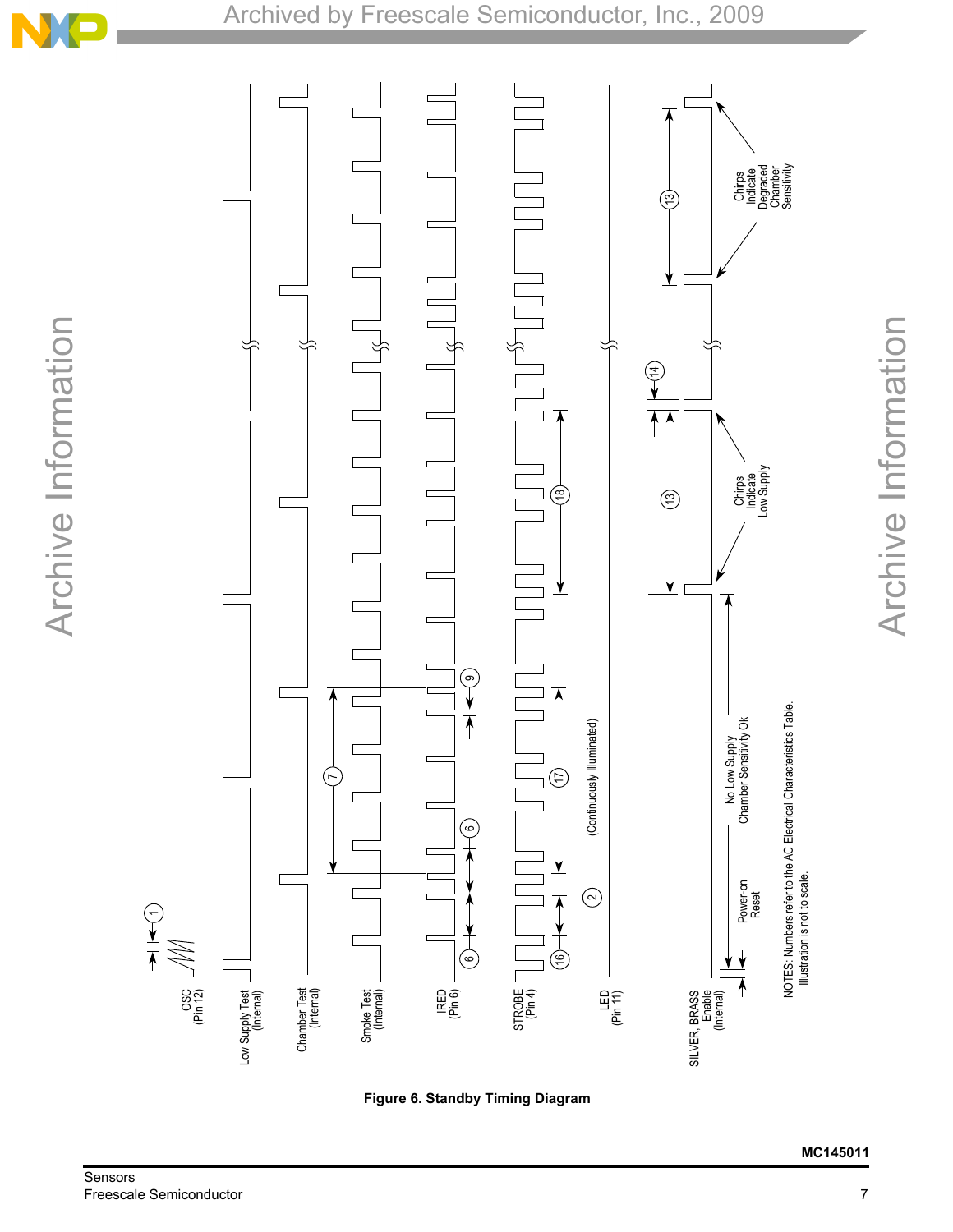

Archive Information Archive Information



<span id="page-6-0"></span>**MC145011**

Archive Information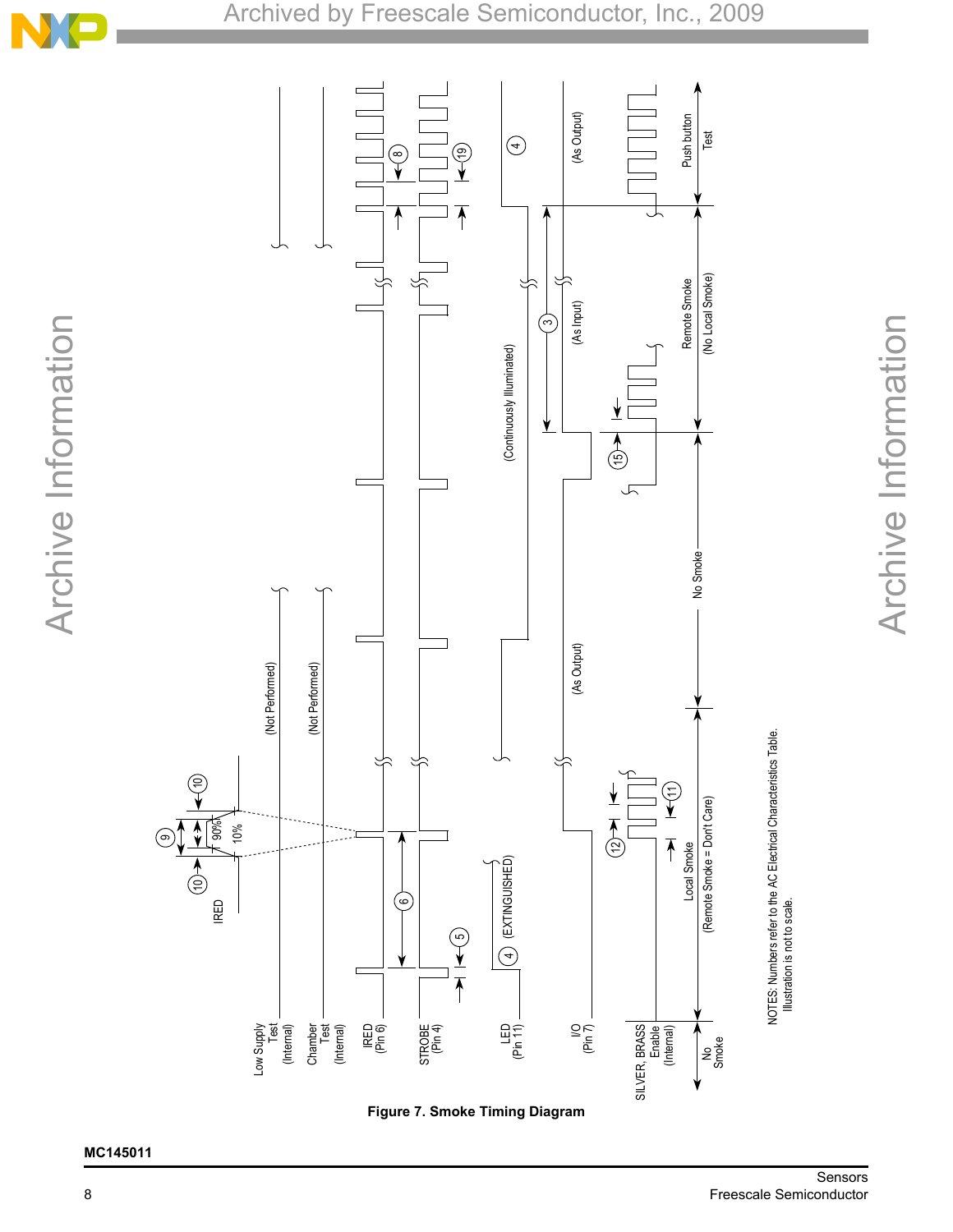

# Archived by Freescale Semiconductor, Inc., 2009

<span id="page-7-0"></span>Archive Information Archive Information



Archive Information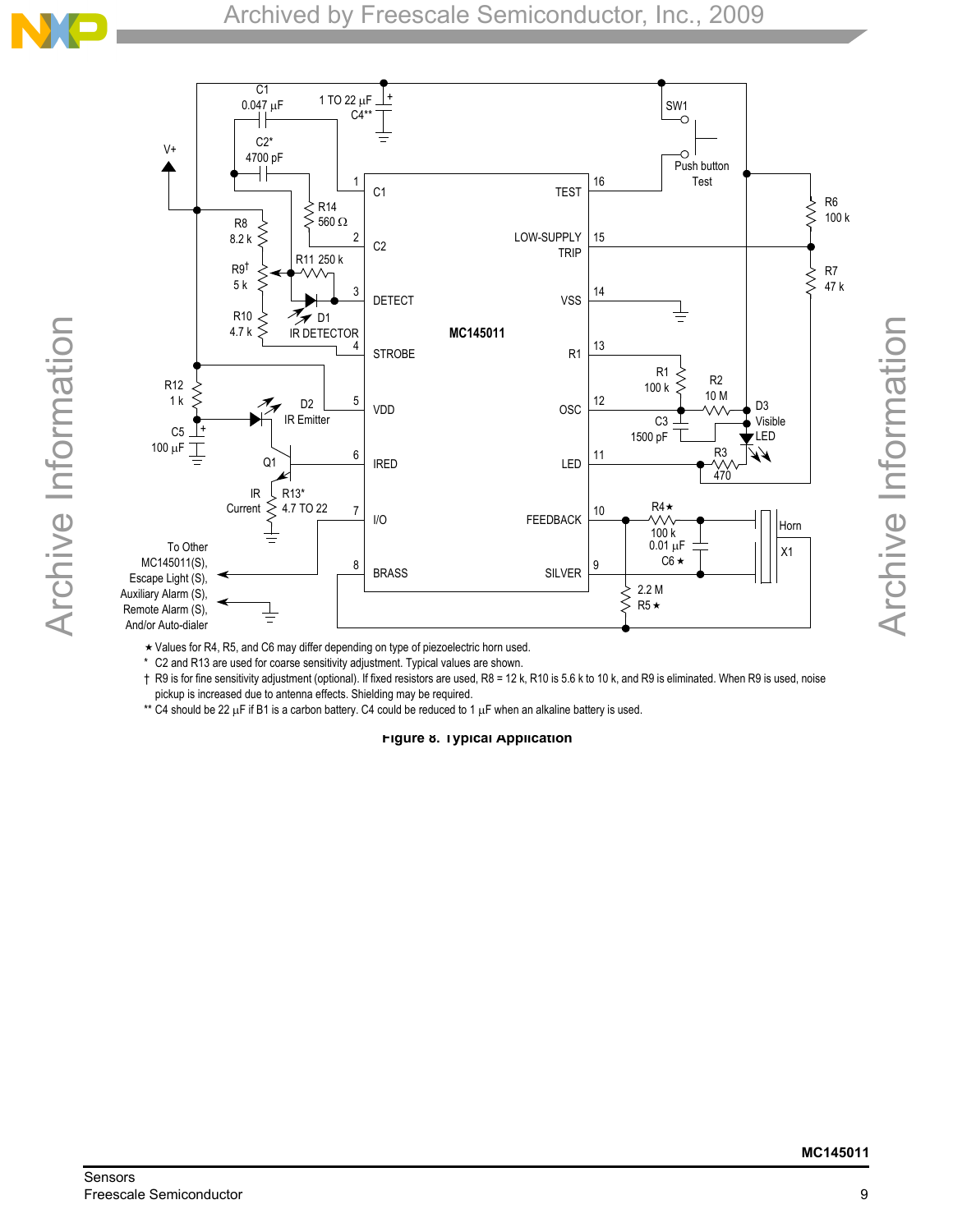

Archive Information



Values for R4, R5, and C6 may differ depending on type of piezoelectric horn used.

\* C2 and R13 are used for coarse sensitivity adjustment. Typical values are shown.

† R9 is for fine sensitivity adjustment (optional). If fixed resistors are used, R8 = 12 k, R10 is 5.6 k to 10 k, and R9 is eliminated. When R9 is used, noise pickup is increased due to antenna effects. Shielding may be required.

\*\* C4 should be 22 μF if B1 is a carbon battery. C4 could be reduced to 1 μF when an alkaline battery is used.

**Figure 8. Typical Application**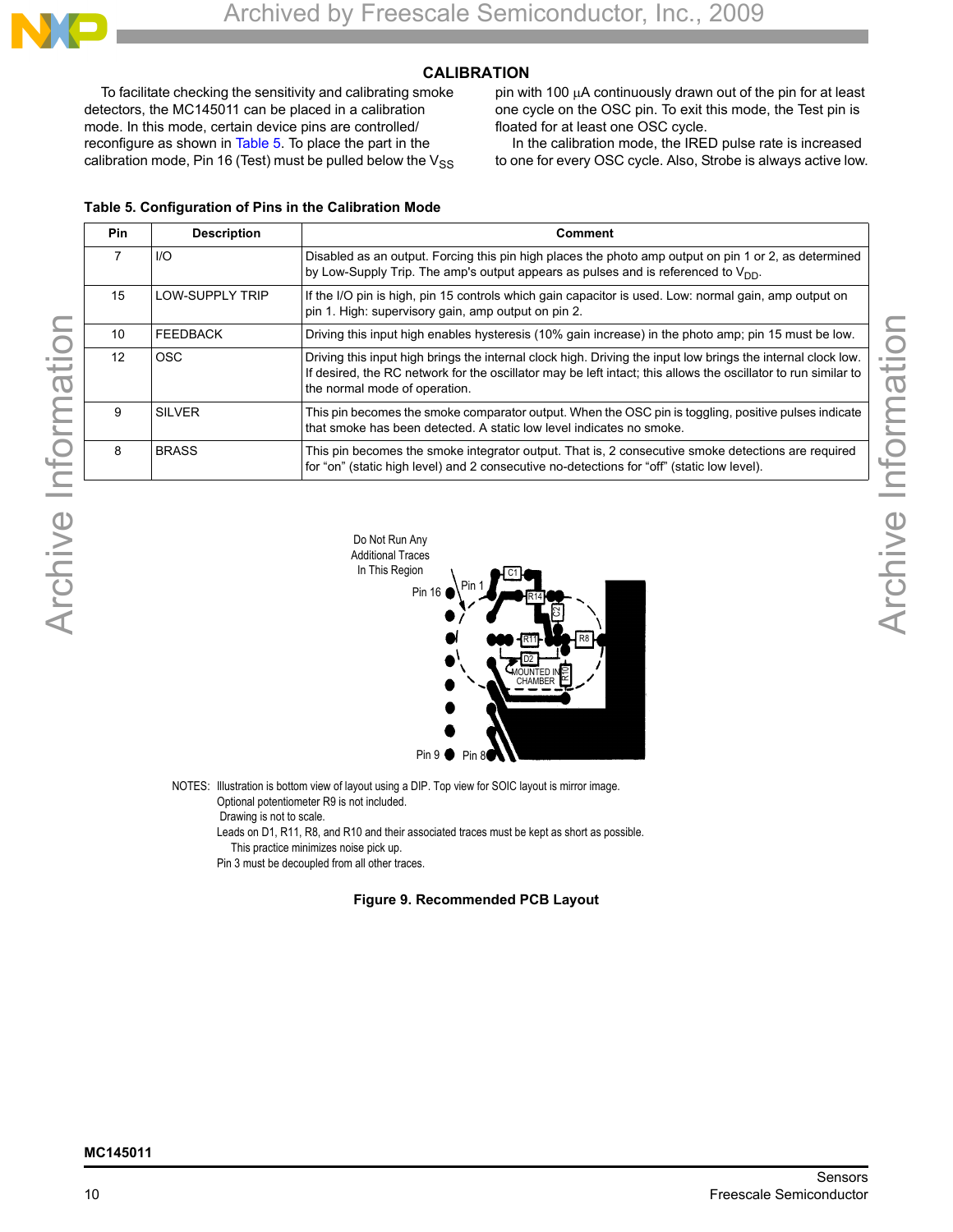

## **CALIBRATION**

To facilitate checking the sensitivity and calibrating smoke detectors, the MC145011 can be placed in a calibration mode. In this mode, certain device pins are controlled/ reconfigure as shown in [Table 5](#page-9-1). To place the part in the calibration mode, Pin 16 (Test) must be pulled below the  $V_{SS}$  pin with 100 μA continuously drawn out of the pin for at least one cycle on the OSC pin. To exit this mode, the Test pin is floated for at least one OSC cycle.

In the calibration mode, the IRED pulse rate is increased to one for every OSC cycle. Also, Strobe is always active low.

## <span id="page-9-1"></span>**Table 5. Configuration of Pins in the Calibration Mode**

| Pin | <b>Description</b>     | Comment                                                                                                                                                                                                                                                         |
|-----|------------------------|-----------------------------------------------------------------------------------------------------------------------------------------------------------------------------------------------------------------------------------------------------------------|
| 7   | 1/O                    | Disabled as an output. Forcing this pin high places the photo amp output on pin 1 or 2, as determined<br>by Low-Supply Trip. The amp's output appears as pulses and is referenced to $V_{DD}$ .                                                                 |
| 15  | <b>LOW-SUPPLY TRIP</b> | If the I/O pin is high, pin 15 controls which gain capacitor is used. Low: normal gain, amp output on<br>pin 1. High: supervisory gain, amp output on pin 2.                                                                                                    |
| 10  | <b>FEEDBACK</b>        | Driving this input high enables hysteresis (10% gain increase) in the photo amp; pin 15 must be low.                                                                                                                                                            |
| 12  | <b>OSC</b>             | Driving this input high brings the internal clock high. Driving the input low brings the internal clock low.<br>If desired, the RC network for the oscillator may be left intact; this allows the oscillator to run similar to<br>the normal mode of operation. |
| 9   | <b>SILVER</b>          | This pin becomes the smoke comparator output. When the OSC pin is toggling, positive pulses indicate<br>that smoke has been detected. A static low level indicates no smoke.                                                                                    |
| 8   | <b>BRASS</b>           | This pin becomes the smoke integrator output. That is, 2 consecutive smoke detections are required<br>for "on" (static high level) and 2 consecutive no-detections for "off" (static low level).                                                                |



Archive Information

Archive Information

- NOTES: Illustration is bottom view of layout using a DIP. Top view for SOIC layout is mirror image. Optional potentiometer R9 is not included.
	- Drawing is not to scale.

 Leads on D1, R11, R8, and R10 and their associated traces must be kept as short as possible. This practice minimizes noise pick up.

<span id="page-9-0"></span>Pin 3 must be decoupled from all other traces.

## **Figure 9. Recommended PCB Layout**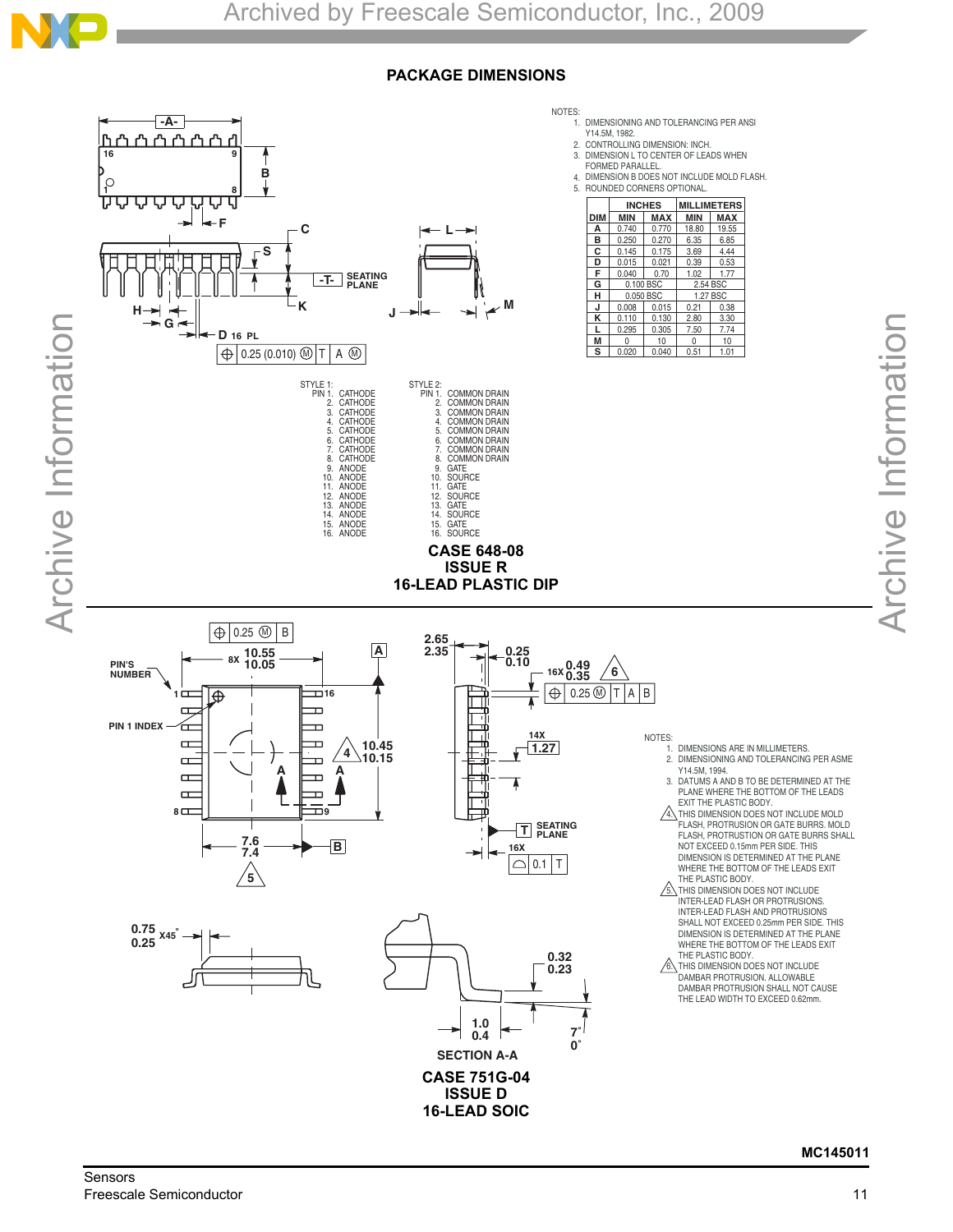## **PACKAGE DIMENSIONS**



Archive Information Archive Information

**MC145011**

Archive Information